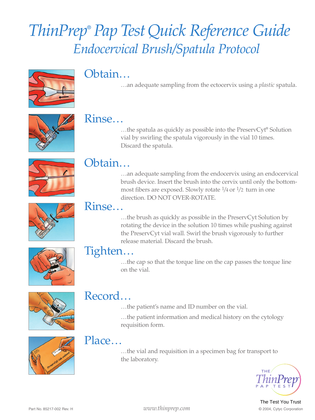# *ThinPrep*® *Pap TestQuick Reference Guide Endocervical Brush/Spatula Protocol*



## Obtain…

…an adequate sampling from the ectocervix using a *plastic* spatula.



Rinse...<br>Whe spatula as quickly as possible into the PreservCyt® Solution vial by swirling the spatula vigorously in the vial 10 times. Discard the spatula.



## Obtain…

…an adequate sampling from the endocervix using an endocervical brush device. Insert the brush into the cervix until only the bottommost fibers are exposed. Slowly rotate 1 /4 or 1 /2 turn in one direction. DO NOT OVER-ROTATE.



Rinse...<br>When  $\lim_{x\to 0}$  as quickly as possible in the PreservCyt Solution by rotating the device in the solution 10 times while pushing against the PreservCyt vial wall. Swirl the brush vigorously to further release material. Discard the brush.



**Tighten...**<br>...the cap so that the torque line on the cap passes the torque line on the vial.



## Record…

…the patient's name and ID number on the vial.

…the patient information and medical history on the cytology requisition form.



## Place…

…the vial and requisition in a specimen bag for transport to the laboratory.



The Test You Trust

Part No. 85217-002 Rev.<sup>H</sup> *www.thinprep.com* © <sup>200</sup>4, Cytyc Corporation